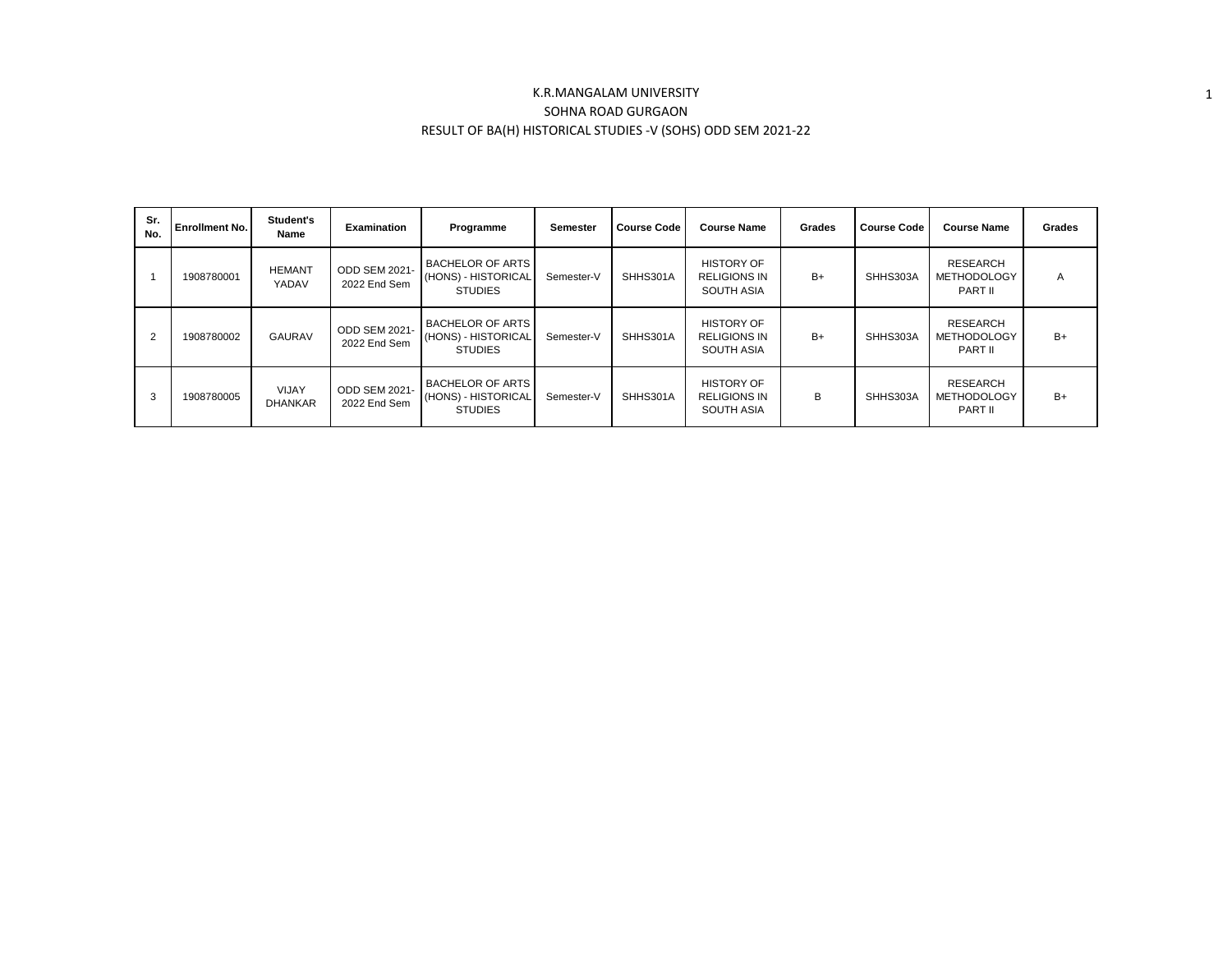## K.R.MANGALAM UNIVERSITY SOHNA ROAD GURGAON RESULT OF BA(H) HISTORICAL STUDIES -V (SOHS) ODD SEM 2021-22

1

| Sr.<br>No.     | <b>Enrollment No.</b> | Student's<br>Name              | <b>Examination</b>                   | Programme                                                        | Semester   | <b>Course Code</b> | <b>Course Name</b>                                            | Grades | <b>Course Code</b> | <b>Course Name</b>                               | <b>Grades</b> |
|----------------|-----------------------|--------------------------------|--------------------------------------|------------------------------------------------------------------|------------|--------------------|---------------------------------------------------------------|--------|--------------------|--------------------------------------------------|---------------|
|                | 1908780001            | <b>HEMANT</b><br>YADAV         | ODD SEM 2021-<br>2022 End Sem        | <b>BACHELOR OF ARTS</b><br>(HONS) - HISTORICAL<br><b>STUDIES</b> | Semester-V | SHHS301A           | <b>HISTORY OF</b><br><b>RELIGIONS IN</b><br><b>SOUTH ASIA</b> | $B+$   | SHHS303A           | <b>RESEARCH</b><br><b>METHODOLOGY</b><br>PART II | A             |
| $\overline{2}$ | 1908780002            | <b>GAURAV</b>                  | <b>ODD SEM 2021-</b><br>2022 End Sem | <b>BACHELOR OF ARTS</b><br>(HONS) - HISTORICAL<br><b>STUDIES</b> | Semester-V | SHHS301A           | <b>HISTORY OF</b><br><b>RELIGIONS IN</b><br><b>SOUTH ASIA</b> | $B+$   | SHHS303A           | <b>RESEARCH</b><br><b>METHODOLOGY</b><br>PART II | $B+$          |
| 3              | 1908780005            | <b>VIJAY</b><br><b>DHANKAR</b> | <b>ODD SEM 2021-</b><br>2022 End Sem | <b>BACHELOR OF ARTS</b><br>(HONS) - HISTORICAL<br><b>STUDIES</b> | Semester-V | SHHS301A           | <b>HISTORY OF</b><br><b>RELIGIONS IN</b><br><b>SOUTH ASIA</b> | B      | SHHS303A           | <b>RESEARCH</b><br><b>METHODOLOGY</b><br>PART II | $B+$          |